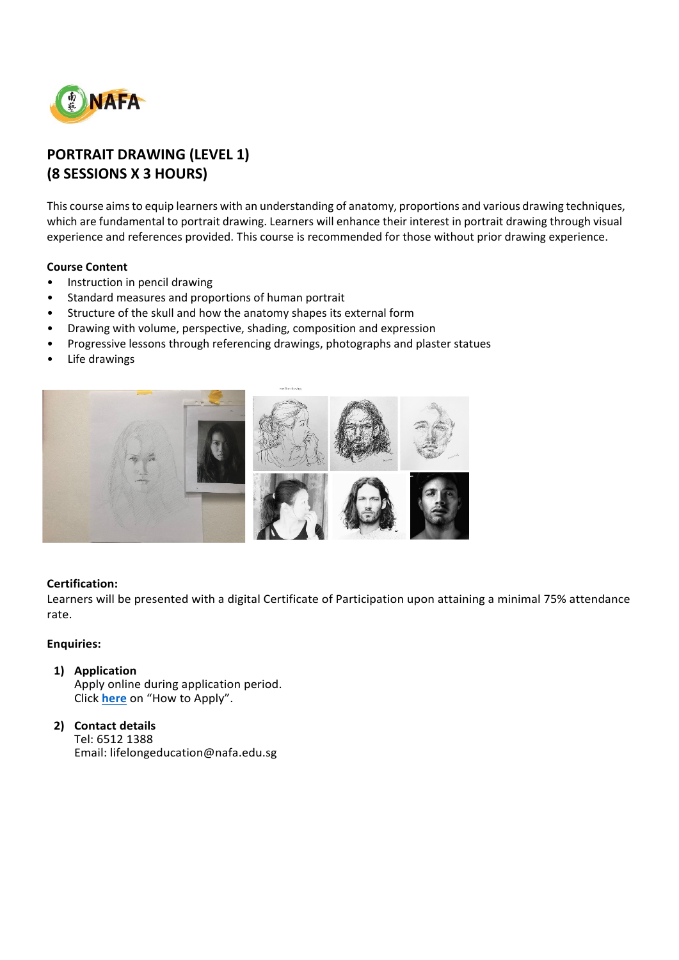

# **PORTRAIT DRAWING (LEVEL 1) (8 SESSIONS X 3 HOURS)**

This course aims to equip learners with an understanding of anatomy, proportions and various drawing techniques, which are fundamental to portrait drawing. Learners will enhance their interest in portrait drawing through visual experience and references provided. This course is recommended for those without prior drawing experience.

# **Course Content**

- Instruction in pencil drawing
- Standard measures and proportions of human portrait
- Structure of the skull and how the anatomy shapes its external form
- Drawing with volume, perspective, shading, composition and expression
- Progressive lessons through referencing drawings, photographs and plaster statues
- Life drawings



### **Certification:**

Learners will be presented with a digital Certificate of Participation upon attaining a minimal 75% attendance rate.

## **Enquiries:**

# **1) Application**

Apply online during application period. Click **[here](https://www.nafa.edu.sg/courses/part-time/short-courses#collapseFive)** on "How to Apply".

## **2) Contact details** Tel: 6512 1388 Email: lifelongeducation@nafa.edu.sg